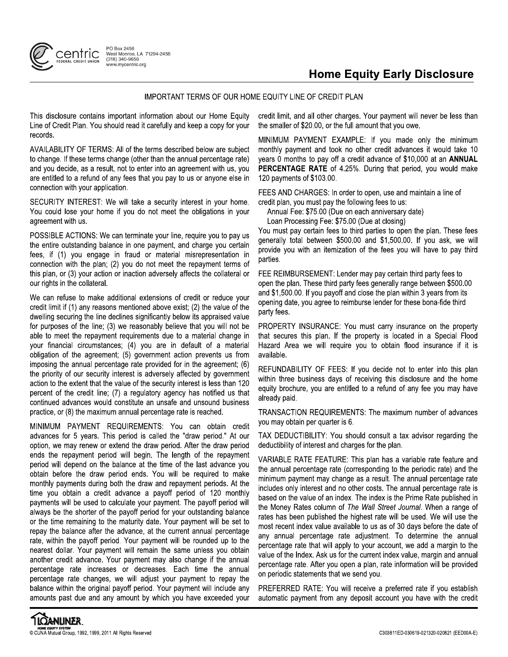

## **Home Equity Early Disclosure**

## IMPORTANT TERMS OF OUR HOME EQUITY LINE OF CREDIT PLAN

This disclosure contains important information about our Home Equity Line of Credit Plan. You should read it carefully and keep a copy for your records.

AVAILABILITY OF TERMS: All of the terms described below are subject to change. If these terms change (other than the annual percentage rate) and you decide, as a result, not to enter into an agreement with us, you are entitled to a refund of any fees that you pay to us or anyone else in connection with your application.

SECURITY INTEREST: We will take a security interest in your home. You could lose your home if you do not meet the obligations in your agreement with us.

POSSIBLE ACTIONS: We can terminate your line, require you to pay us the entire outstanding balance in one payment, and charge you certain fees, if (1) you engage in fraud or material misrepresentation in connection with the plan; (2) you do not meet the repayment terms of this plan, or (3) your action or inaction adversely affects the collateral or our rights in the collateral.

We can refuse to make additional extensions of credit or reduce your credit limit if (1) any reasons mentioned above exist; (2) the value of the dwelling securing the line declines significantly below its appraised value for purposes of the line; (3) we reasonably believe that you will not be able to meet the repayment requirements due to a material change in your financial circumstances; (4) you are in default of a material obligation of the agreement; (5) government action prevents us from imposing the annual percentage rate provided for in the agreement; (6) the priority of our security interest is adversely affected by government action to the extent that the value of the security interest is less than 120 percent of the credit line; (7) a regulatory agency has notified us that continued advances would constitute an unsafe and unsound business practice, or (8) the maximum annual percentage rate is reached.

MINIMUM PAYMENT REQUIREMENTS: You can obtain credit advances for 5 years. This period is called the "draw period." At our option, we may renew or extend the draw period. After the draw period ends the repayment period will begin. The length of the repayment period will depend on the balance at the time of the last advance you obtain before the draw period ends. You will be required to make monthly payments during both the draw and repayment periods. At the time you obtain a credit advance a payoff period of 120 monthly payments will be used to calculate your payment. The payoff period will always be the shorter of the payoff period for your outstanding balance or the time remaining to the maturity date. Your payment will be set to repay the balance after the advance, at the current annual percentage rate, within the payoff period. Your payment will be rounded up to the nearest dollar. Your payment will remain the same unless you obtain another credit advance. Your payment may also change if the annual percentage rate increases or decreases. Each time the annual percentage rate changes, we will adjust your payment to repay the balance within the original payoff period. Your payment will include any amounts past due and any amount by which you have exceeded your

credit limit, and all other charges. Your payment will never be less than the smaller of \$20.00, or the full amount that you owe.

MINIMUM PAYMENT EXAMPLE: If you made only the minimum monthly payment and took no other credit advances it would take 10 years 0 months to pay off a credit advance of \$10,000 at an ANNUAL PERCENTAGE RATE of 4.25%. During that period, you would make 120 payments of \$103.00.

FEES AND CHARGES: In order to open, use and maintain a line of credit plan, you must pay the following fees to us:

Annual Fee: \$75.00 (Due on each anniversary date)

Loan Processing Fee: \$75.00 (Due at closing)

You must pay certain fees to third parties to open the plan. These fees generally total between \$500.00 and \$1,500.00. If you ask, we will provide you with an itemization of the fees you will have to pay third parties.

FEE REIMBURSEMENT: Lender may pay certain third party fees to open the plan. These third party fees generally range between \$500.00 and \$1,500.00. If you payoff and close the plan within 3 years from its opening date, you agree to reimburse lender for these bona-fide third party fees.

PROPERTY INSURANCE: You must carry insurance on the property that secures this plan. If the property is located in a Special Flood Hazard Area we will require you to obtain flood insurance if it is available.

REFUNDABILITY OF FEES: If you decide not to enter into this plan within three business days of receiving this disclosure and the home equity brochure, you are entitled to a refund of any fee you may have already paid.

TRANSACTION REQUIREMENTS: The maximum number of advances you may obtain per quarter is 6.

TAX DEDUCTIBILITY: You should consult a tax advisor regarding the deductibility of interest and charges for the plan.

VARIABLE RATE FEATURE: This plan has a variable rate feature and the annual percentage rate (corresponding to the periodic rate) and the minimum payment may change as a result. The annual percentage rate includes only interest and no other costs. The annual percentage rate is based on the value of an index. The index is the Prime Rate published in the Money Rates column of The Wall Street Journal. When a range of rates has been published the highest rate will be used. We will use the most recent index value available to us as of 30 days before the date of any annual percentage rate adjustment. To determine the annual percentage rate that will apply to your account, we add a margin to the value of the Index. Ask us for the current index value, margin and annual percentage rate. After you open a plan, rate information will be provided on periodic statements that we send you.

PREFERRED RATE: You will receive a preferred rate if you establish automatic payment from any deposit account you have with the credit

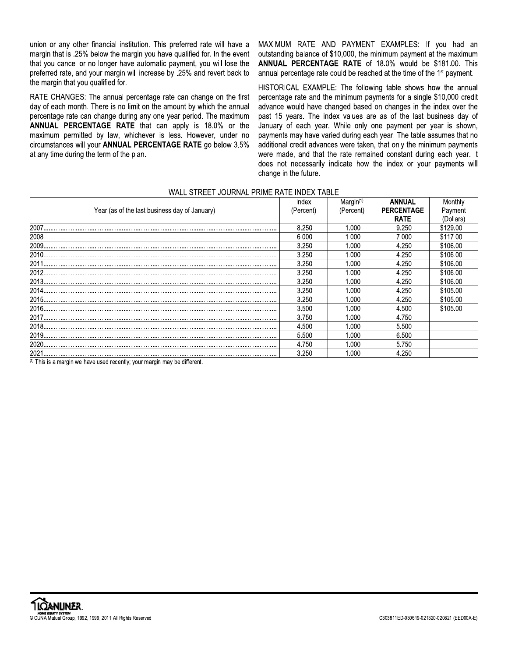union or any other financial institution. This preferred rate will have a margin that is .25% below the margin you have qualified for. In the event that you cancel or no longer have automatic payment, you will lose the preferred rate, and your margin will increase by .25% and revert back to the margin that you qualified for.

RATE CHANGES: The annual percentage rate can change on the first day of each month. There is no limit on the amount by which the annual percentage rate can change during any one year period. The maximum ANNUAL PERCENTAGE RATE that can apply is 18.0% or the maximum permitted by law, whichever is less. However, under no circumstances will your ANNUAL PERCENTAGE RATE go below 3.5% at any time during the term of the plan.

MAXIMUM RATE AND PAYMENT EXAMPLES: If you had an outstanding balance of \$10,000, the minimum payment at the maximum ANNUAL PERCENTAGE RATE of 18.0% would be \$181.00. This annual percentage rate could be reached at the time of the 1<sup>st</sup> payment.

HISTORICAL EXAMPLE: The following table shows how the annual percentage rate and the minimum payments for a single \$10,000 credit advance would have changed based on changes in the index over the past 15 years. The index values are as of the last business day of January of each year. While only one payment per year is shown, payments may have varied during each year. The table assumes that no additional credit advances were taken, that only the minimum payments were made, and that the rate remained constant during each year. It does not necessarily indicate how the index or your payments will change in the future.

| Index     | Margin <sup>(1)</sup> | <b>ANNUAL</b>     | Monthly   |
|-----------|-----------------------|-------------------|-----------|
| (Percent) | (Percent)             | <b>PERCENTAGE</b> | Payment   |
|           |                       | <b>RATE</b>       | (Dollars) |
| 8.250     | 1.000                 | 9.250             | \$129.00  |
| 6.000     | .000                  | 7.000             | \$117.00  |
| 3.250     | 000                   | 4.250             | \$106.00  |
| 3.250     | 1.000                 | 4.250             | \$106.00  |
| 3.250     | 1.000                 | 4.250             | \$106.00  |
| 3.250     | 1.000                 | 4.250             | \$106.00  |
| 3.250     | 1.000                 | 4.250             | \$106.00  |
| 3.250     | 1.000                 | 4.250             | \$105.00  |
| 3.250     | 1.000                 | 4.250             | \$105.00  |
| 3.500     | 1.000                 | 4.500             | \$105.00  |
| 3.750     | 1.000                 | 4.750             |           |
| 4.500     | 1.000                 | 5.500             |           |
| 5.500     | 1.000                 | 6.500             |           |
| 4.750     | 1.000                 | 5.750             |           |
| 3.250     | 1.000                 | 4.250             |           |
|           |                       |                   |           |

## WALL STREET JOURNAL PRIME RATE INDEX TARLE

(1) This is a margin we have used recently; your margin may be different.